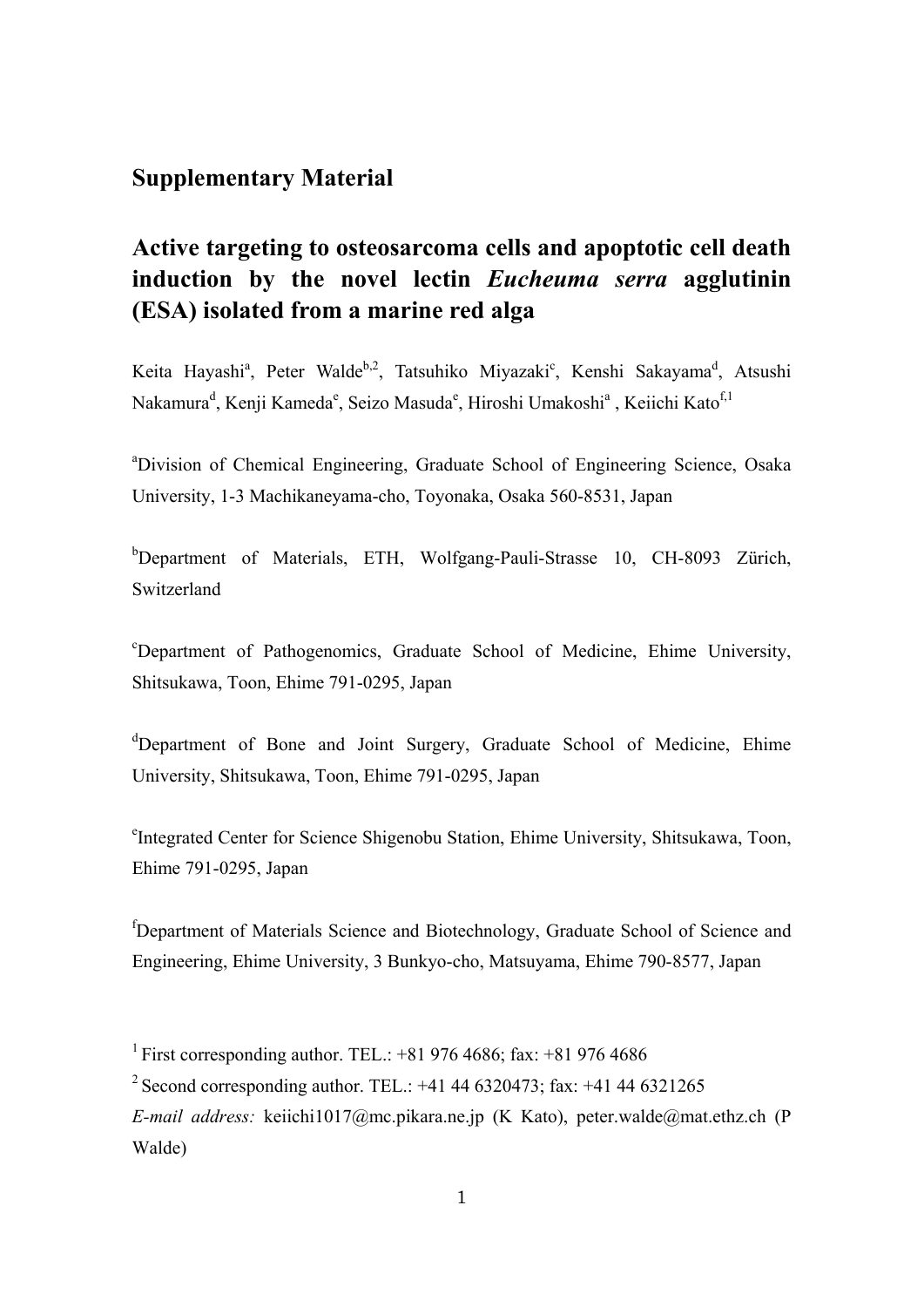## **Supplementary Material**

## **Active targeting to osteosarcoma cells and apoptotic cell death induction by the novel lectin** *Eucheuma serra* **agglutinin (ESA) isolated from a marine red alga**

Keita Hayashi<sup>a</sup>, Peter Walde<sup>b,2</sup>, Tatsuhiko Miyazaki<sup>c</sup>, Kenshi Sakayama<sup>d</sup>, Atsushi Nakamura<sup>d</sup>, Kenji Kameda<sup>e</sup>, Seizo Masuda<sup>e</sup>, Hiroshi Umakoshi<sup>a</sup> , Keiichi Kato<sup>f,1</sup>

<sup>a</sup>Division of Chemical Engineering, Graduate School of Engineering Science, Osaka University, 1-3 Machikaneyama-cho, Toyonaka, Osaka 560-8531, Japan

<sup>b</sup>Department of Materials, ETH, Wolfgang-Pauli-Strasse 10, CH-8093 Zürich, Switzerland

c Department of Pathogenomics, Graduate School of Medicine, Ehime University, Shitsukawa, Toon, Ehime 791-0295, Japan

<sup>d</sup>Department of Bone and Joint Surgery, Graduate School of Medicine, Ehime University, Shitsukawa, Toon, Ehime 791-0295, Japan

e Integrated Center for Science Shigenobu Station, Ehime University, Shitsukawa, Toon, Ehime 791-0295, Japan

<sup>f</sup>Department of Materials Science and Biotechnology, Graduate School of Science and Engineering, Ehime University, 3 Bunkyo-cho, Matsuyama, Ehime 790-8577, Japan

<sup>1</sup> First corresponding author. TEL.:  $+819764686$ : fax:  $+819764686$ <sup>2</sup> Second corresponding author. TEL.:  $+41$  44 6320473; fax:  $+41$  44 6321265 *E-mail address:* keiichi1017@mc.pikara.ne.jp (K Kato), peter.walde@mat.ethz.ch (P

Walde)

1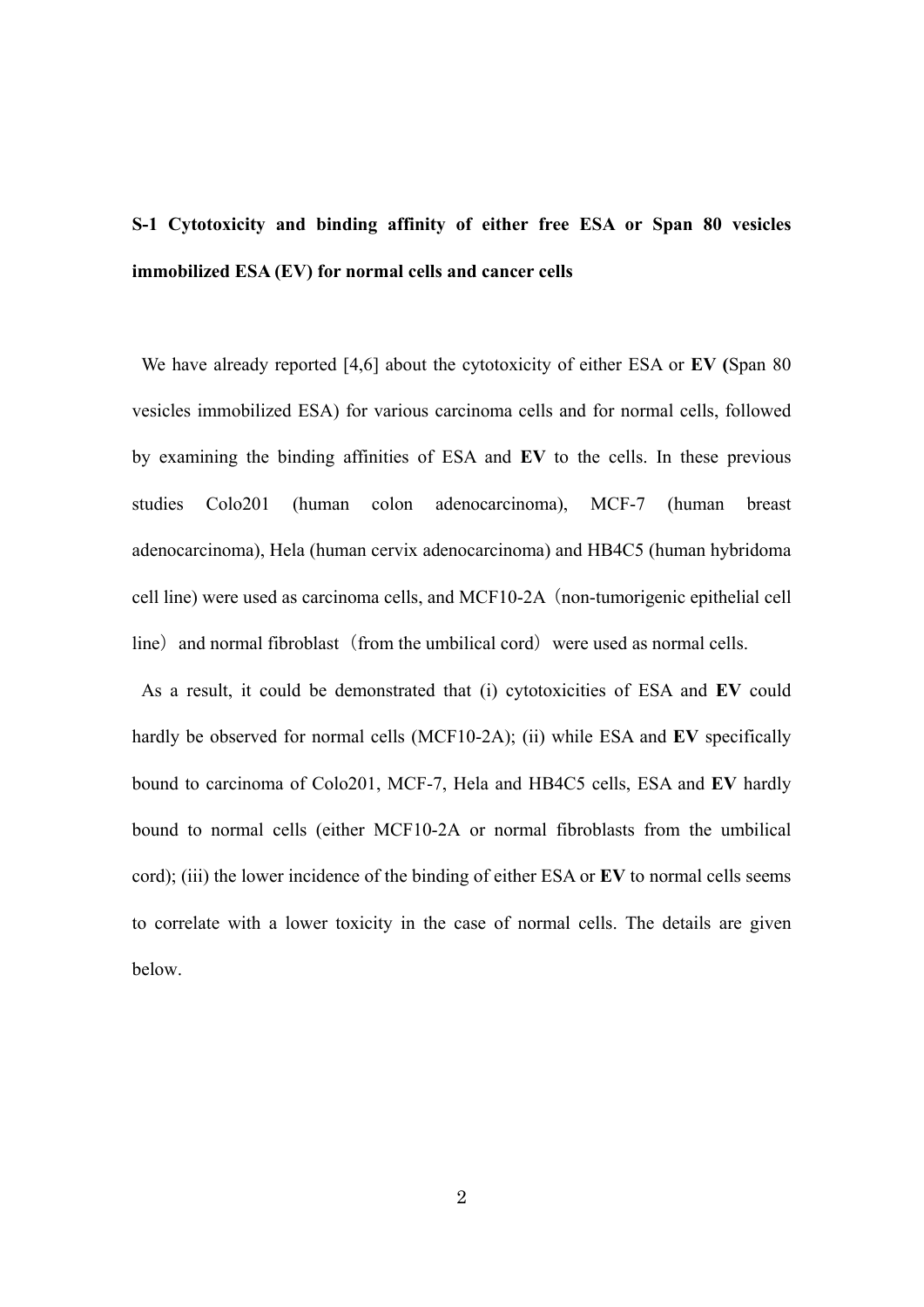# **S-1 Cytotoxicity and binding affinity of either free ESA or Span 80 vesicles immobilized ESA (EV) for normal cells and cancer cells**

 We have already reported [4,6] about the cytotoxicity of either ESA or **EV (**Span 80 vesicles immobilized ESA) for various carcinoma cells and for normal cells, followed by examining the binding affinities of ESA and **EV** to the cells. In these previous studies Colo201 (human colon adenocarcinoma), MCF-7 (human breast adenocarcinoma), Hela (human cervix adenocarcinoma) and HB4C5 (human hybridoma cell line) were used as carcinoma cells, and MCF10-2A (non-tumorigenic epithelial cell line) and normal fibroblast (from the umbilical cord) were used as normal cells.

 As a result, it could be demonstrated that (i) cytotoxicities of ESA and **EV** could hardly be observed for normal cells (MCF10-2A); (ii) while ESA and **EV** specifically bound to carcinoma of Colo201, MCF-7, Hela and HB4C5 cells, ESA and **EV** hardly bound to normal cells (either MCF10-2A or normal fibroblasts from the umbilical cord); (iii) the lower incidence of the binding of either ESA or **EV** to normal cells seems to correlate with a lower toxicity in the case of normal cells. The details are given below.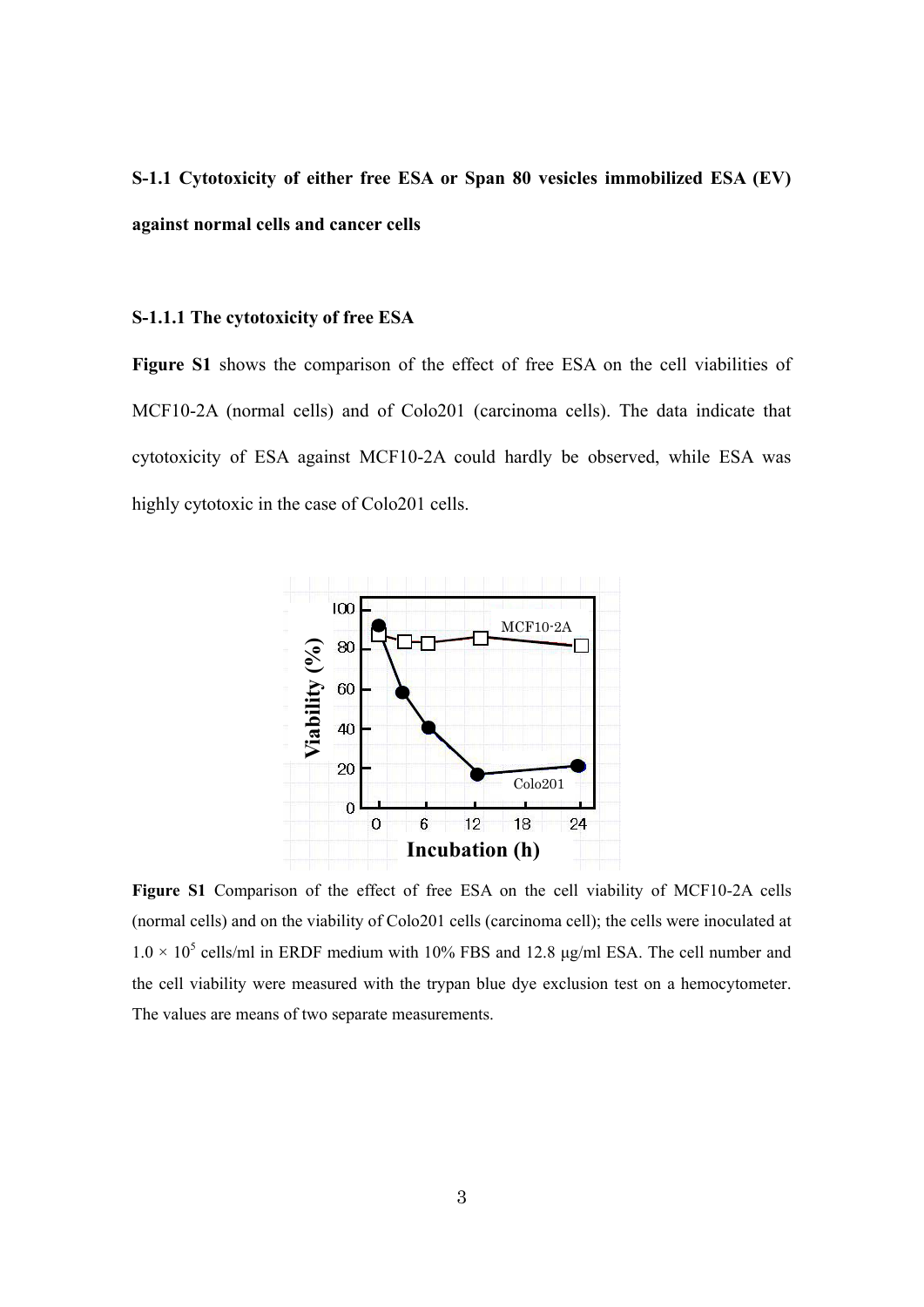## **S-1.1 Cytotoxicity of either free ESA or Span 80 vesicles immobilized ESA (EV) against normal cells and cancer cells**

#### **S-1.1.1 The cytotoxicity of free ESA**

Figure S1 shows the comparison of the effect of free ESA on the cell viabilities of MCF10-2A (normal cells) and of Colo201 (carcinoma cells). The data indicate that cytotoxicity of ESA against MCF10-2A could hardly be observed, while ESA was highly cytotoxic in the case of Colo201 cells.



**Figure S1** Comparison of the effect of free ESA on the cell viability of MCF10-2A cells (normal cells) and on the viability of Colo201 cells (carcinoma cell); the cells were inoculated at  $1.0 \times 10^5$  cells/ml in ERDF medium with 10% FBS and 12.8 µg/ml ESA. The cell number and the cell viability were measured with the trypan blue dye exclusion test on a hemocytometer. The values are means of two separate measurements.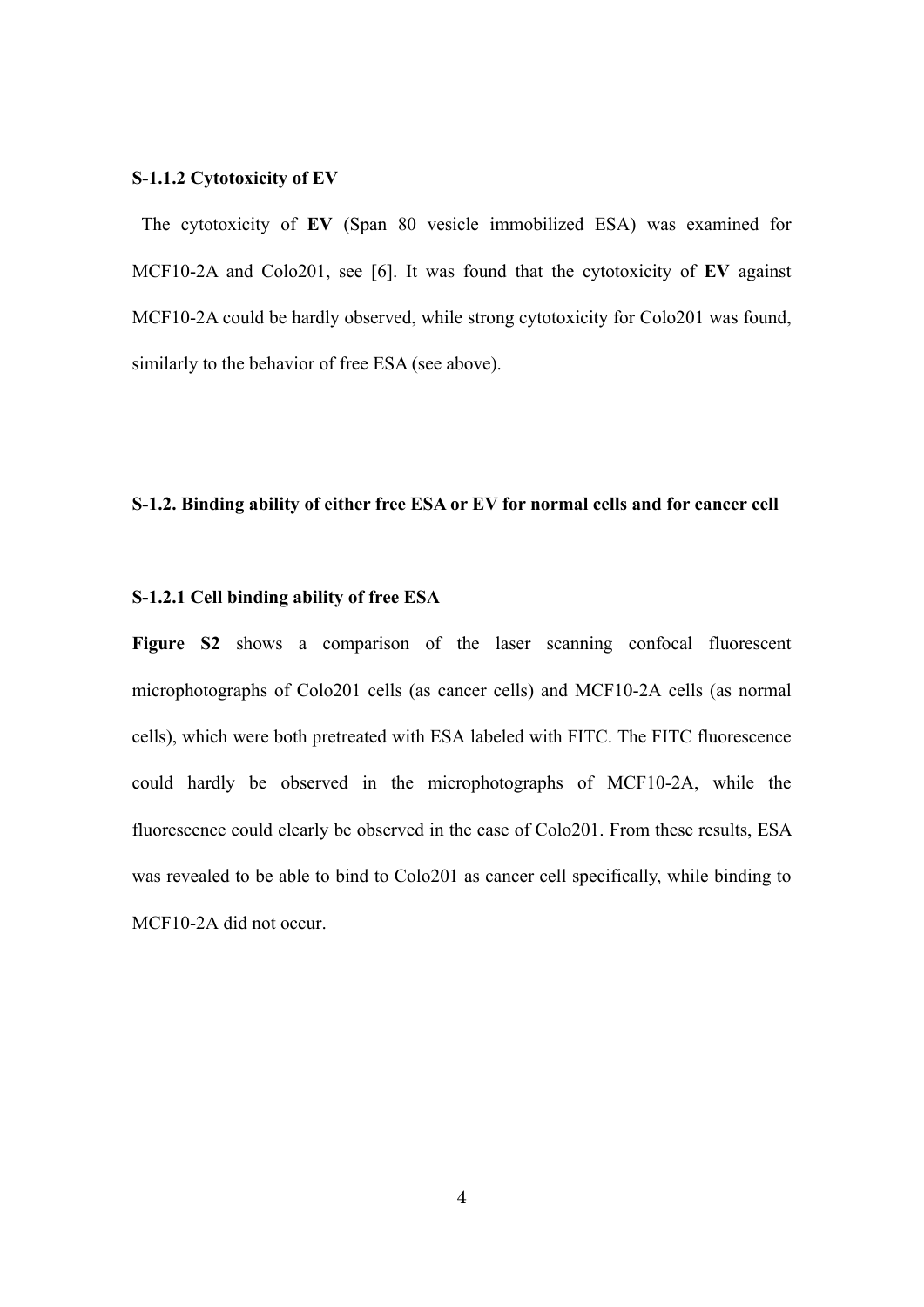#### **S-1.1.2 Cytotoxicity of EV**

The cytotoxicity of **EV** (Span 80 vesicle immobilized ESA) was examined for MCF10-2A and Colo201, see [6]. It was found that the cytotoxicity of **EV** against MCF10-2A could be hardly observed, while strong cytotoxicity for Colo201 was found, similarly to the behavior of free ESA (see above).

### **S-1.2. Binding ability of either free ESA or EV for normal cells and for cancer cell**

#### **S-1.2.1 Cell binding ability of free ESA**

Figure S2 shows a comparison of the laser scanning confocal fluorescent microphotographs of Colo201 cells (as cancer cells) and MCF10-2A cells (as normal cells), which were both pretreated with ESA labeled with FITC. The FITC fluorescence could hardly be observed in the microphotographs of MCF10-2A, while the fluorescence could clearly be observed in the case of Colo201. From these results, ESA was revealed to be able to bind to Colo201 as cancer cell specifically, while binding to MCF10-2A did not occur.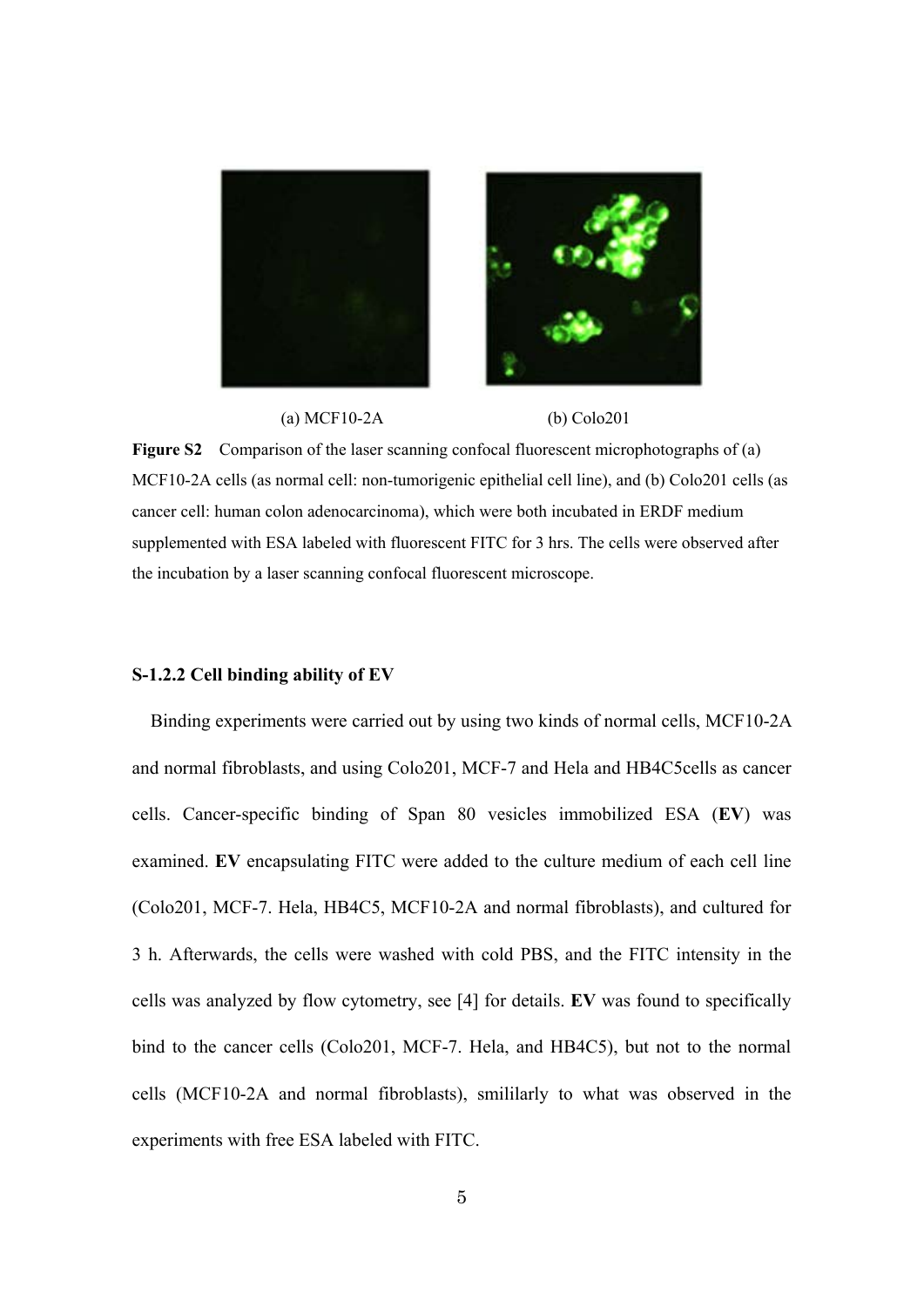

(a) MCF10-2A (b) Colo201

**Figure S2** Comparison of the laser scanning confocal fluorescent microphotographs of (a) MCF10-2A cells (as normal cell: non-tumorigenic epithelial cell line), and (b) Colo201 cells (as cancer cell: human colon adenocarcinoma), which were both incubated in ERDF medium supplemented with ESA labeled with fluorescent FITC for 3 hrs. The cells were observed after the incubation by a laser scanning confocal fluorescent microscope.

#### **S-1.2.2 Cell binding ability of EV**

 Binding experiments were carried out by using two kinds of normal cells, MCF10-2A and normal fibroblasts, and using Colo201, MCF-7 and Hela and HB4C5cells as cancer cells. Cancer-specific binding of Span 80 vesicles immobilized ESA (**EV**) was examined. **EV** encapsulating FITC were added to the culture medium of each cell line (Colo201, MCF-7. Hela, HB4C5, MCF10-2A and normal fibroblasts), and cultured for 3 h. Afterwards, the cells were washed with cold PBS, and the FITC intensity in the cells was analyzed by flow cytometry, see [4] for details. **EV** was found to specifically bind to the cancer cells (Colo201, MCF-7. Hela, and HB4C5), but not to the normal cells (MCF10-2A and normal fibroblasts), smililarly to what was observed in the experiments with free ESA labeled with FITC.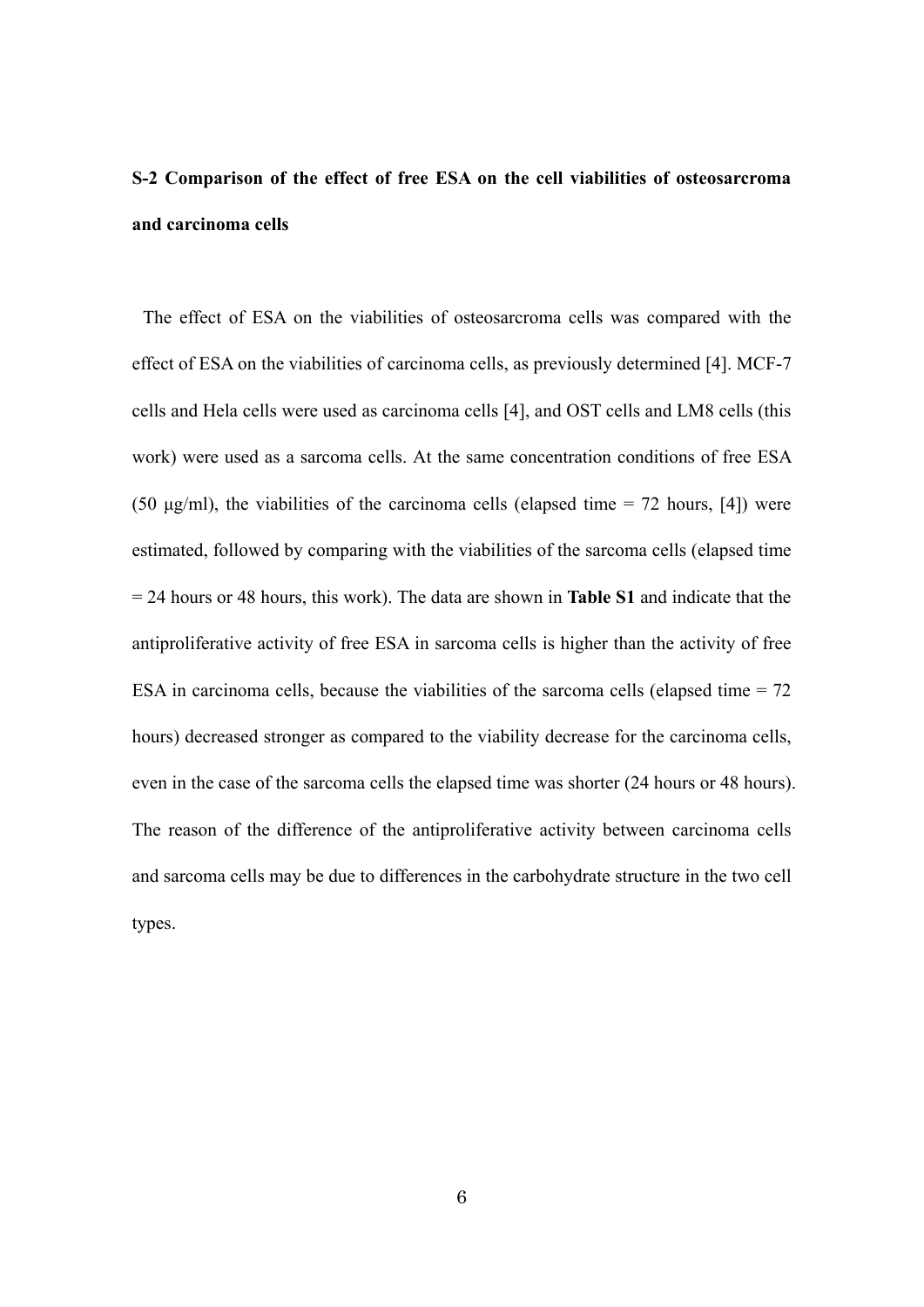## **S-2 Comparison of the effect of free ESA on the cell viabilities of osteosarcroma and carcinoma cells**

The effect of ESA on the viabilities of osteosarcroma cells was compared with the effect of ESA on the viabilities of carcinoma cells, as previously determined [4]. MCF-7 cells and Hela cells were used as carcinoma cells [4], and OST cells and LM8 cells (this work) were used as a sarcoma cells. At the same concentration conditions of free ESA (50  $\mu$ g/ml), the viabilities of the carcinoma cells (elapsed time = 72 hours, [4]) were estimated, followed by comparing with the viabilities of the sarcoma cells (elapsed time = 24 hours or 48 hours, this work). The data are shown in **Table S1** and indicate that the antiproliferative activity of free ESA in sarcoma cells is higher than the activity of free ESA in carcinoma cells, because the viabilities of the sarcoma cells (elapsed time  $= 72$ ) hours) decreased stronger as compared to the viability decrease for the carcinoma cells, even in the case of the sarcoma cells the elapsed time was shorter (24 hours or 48 hours). The reason of the difference of the antiproliferative activity between carcinoma cells and sarcoma cells may be due to differences in the carbohydrate structure in the two cell types.